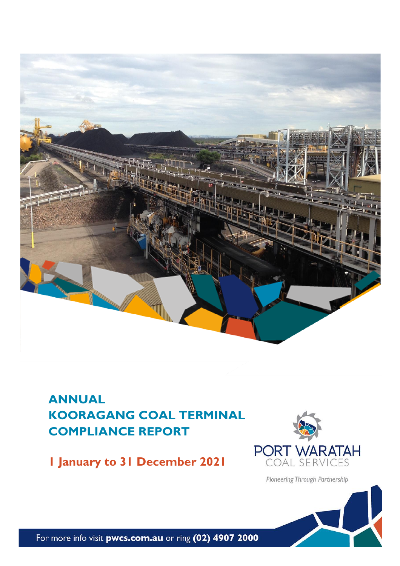

## **ANNUAL KOORAGANG COAL TERMINAL COMPLIANCE REPORT**

**1 January to 31 December 2021**



Pioneering Through Partnership

For more info visit pwcs.com.au or ring (02) 4907 2000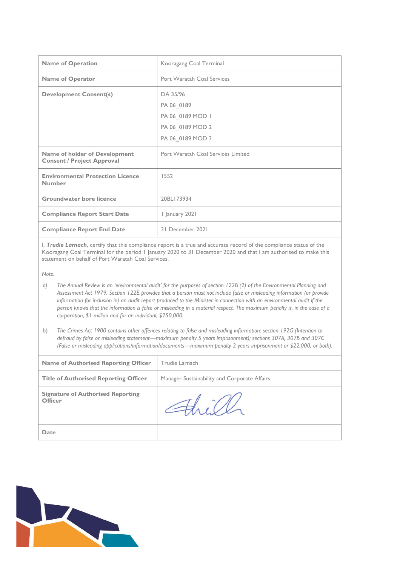| <b>Name of Operation</b>                                                  | Kooragang Coal Terminal            |  |  |
|---------------------------------------------------------------------------|------------------------------------|--|--|
| <b>Name of Operator</b>                                                   | Port Waratah Coal Services         |  |  |
| <b>Development Consent(s)</b>                                             | DA 35/96                           |  |  |
|                                                                           | PA 06_0189                         |  |  |
|                                                                           | PA 06 0189 MOD 1                   |  |  |
|                                                                           | PA 06 0189 MOD 2                   |  |  |
|                                                                           | PA 06_0189 MOD 3                   |  |  |
| <b>Name of holder of Development</b><br><b>Consent / Project Approval</b> | Port Waratah Coal Services Limited |  |  |
| <b>Environmental Protection Licence</b><br>Number                         | 1552                               |  |  |
| <b>Groundwater bore licence</b>                                           | 20BL173934                         |  |  |
| <b>Compliance Report Start Date</b>                                       | I January 2021                     |  |  |
| <b>Compliance Report End Date</b>                                         | 31 December 2021                   |  |  |

I, *Trudie Larnach*, certify that this compliance report is a true and accurate record of the compliance status of the Kooragang Coal Terminal for the period 1 January 2020 to 31 December 2020 and that I am authorised to make this statement on behalf of Port Waratah Coal Services.

*Note.*

- *a) The Annual Review is an 'environmental audit' for the purposes of section 122B (2) of the Environmental Planning and Assessment Act 1979. Section 122E provides that a person must not include false or misleading information (or provide information for inclusion in) an audit report produced to the Minister in connection with an environmental audit if the person knows that the information is false or misleading in a material respect. The maximum penalty is, in the case of a corporation, \$1 million and for an individual, \$250,000.*
- b) *The Crimes Act 1900 contains other offences relating to false and misleading information: section 192G (Intention to defraud by false or misleading statement—maximum penalty 5 years imprisonment); sections 307A, 307B and 307C (False or misleading applications/information/documents—maximum penalty 2 years imprisonment or \$22,000, or both).*

| <b>Name of Authorised Reporting Officer</b>                | Trudie Larnach                               |
|------------------------------------------------------------|----------------------------------------------|
| <b>Title of Authorised Reporting Officer</b>               | Manager Sustainability and Corporate Affairs |
| <b>Signature of Authorised Reporting</b><br><b>Officer</b> | $\exists\forall x \in U$                     |
| Date                                                       |                                              |